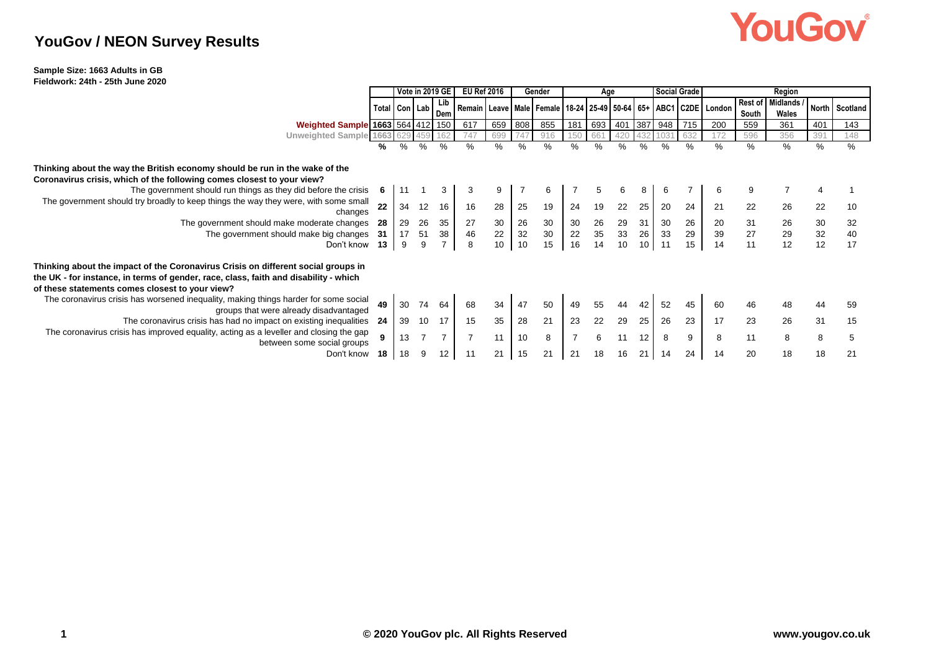## YouGov®

### **YouGov / NEON Survey Results**

#### **Sample Size: 1663 Adults in GB Fieldwork: 24th - 25th June 2020**

|                                                                                                                                                                                                                              |                 | <b>Vote in 2019 GE I</b> |                |                | <b>EU Ref 2016</b>                                                                  |     | Gender |                 |                 |        | Age |                 |               | <b>Social Grade</b> | Region |                  |                          |                 |                |
|------------------------------------------------------------------------------------------------------------------------------------------------------------------------------------------------------------------------------|-----------------|--------------------------|----------------|----------------|-------------------------------------------------------------------------------------|-----|--------|-----------------|-----------------|--------|-----|-----------------|---------------|---------------------|--------|------------------|--------------------------|-----------------|----------------|
|                                                                                                                                                                                                                              | Total Con   Lab |                          |                | Dem            | Remain   Leave   Male   Female   18-24   25-49   50-64   65+   ABC1   C2DE   London |     |        |                 |                 |        |     |                 |               |                     |        | Rest of<br>South | <b>Midlands</b><br>Wales |                 | North Scotland |
| Weighted Sample 1663 564 412 150                                                                                                                                                                                             |                 |                          |                |                | 617                                                                                 | 659 | 808    | 855             | 181             | 693    |     |                 | 401 387 948   | 715                 | 200    | 559              | 361                      | 401             | 143            |
| Unweighted Sample 1663                                                                                                                                                                                                       |                 |                          |                |                | 747                                                                                 | 690 |        | 916             |                 | 661    |     |                 |               |                     | 172    | 596              | 356                      | 391             | 148            |
|                                                                                                                                                                                                                              | %               | %                        | $\%$           | $\%$           | $\frac{0}{0}$                                                                       | %   | $\%$   | $\%$            | %               | $\%$   | ℅   | $\frac{0}{0}$   | $\frac{0}{0}$ | ℅                   | $\%$   | %                | %                        | %               | %              |
| Thinking about the way the British economy should be run in the wake of the<br>Coronavirus crisis, which of the following comes closest to your view?                                                                        |                 |                          |                |                |                                                                                     |     |        |                 |                 |        |     |                 |               |                     |        |                  |                          |                 |                |
| The government should run things as they did before the crisis                                                                                                                                                               | 6               |                          |                |                |                                                                                     |     |        | 6               |                 |        |     |                 |               |                     | 6      |                  |                          |                 |                |
| The government should try broadly to keep things the way they were, with some small<br>changes                                                                                                                               | 22              | 34                       | 12             | 16             | 16                                                                                  | 28  | 25     | 19              | 24              | 19     | 22  | 25              | 20            | 24                  | 21     | 22               | 26                       | 22              | 10             |
| The government should make moderate changes                                                                                                                                                                                  | 28              | 29                       | 26             | 35             | 27                                                                                  | 30  | 26     | $\frac{30}{30}$ |                 | 26     | 29  | 31              | 30            | 26                  | $20\,$ |                  |                          | 30              | 32             |
| The government should make big changes                                                                                                                                                                                       | -31             | 17                       | 51             | 38             | 46                                                                                  | 22  | 32     |                 | $\frac{30}{22}$ | $35\,$ | 33  | 26              | 33            | 29                  | $39\,$ | $\frac{31}{27}$  | 26<br>29<br>12           | $\frac{32}{12}$ | 40             |
| Don't know                                                                                                                                                                                                                   | $13 -$          | 9                        | 9              |                | 8                                                                                   | 10  | 10     | 15              | 16              | 14     | 10  | 10 <sup>°</sup> | 11            | 15                  | 14     | 11               |                          |                 | 17             |
| Thinking about the impact of the Coronavirus Crisis on different social groups in<br>the UK - for instance, in terms of gender, race, class, faith and disability - which<br>of these statements comes closest to your view? |                 |                          |                |                |                                                                                     |     |        |                 |                 |        |     |                 |               |                     |        |                  |                          |                 |                |
| The coronavirus crisis has worsened inequality, making things harder for some social<br>groups that were already disadvantaged                                                                                               | 49              | 30                       | 74             | 64             | 68                                                                                  | 34  | 47     | 50              | 49              |        | 44  |                 | 52            | 45                  | 60     | 46               |                          | 44              | 59             |
| The coronavirus crisis has had no impact on existing inequalities                                                                                                                                                            | -24             | 39                       | 10             |                | 15                                                                                  | 35  | 28     | 21              | 23              | 22     | 29  | 25              | 26            | 23                  | 17     | 23               | 26                       | 31              | 15             |
| The coronavirus crisis has improved equality, acting as a leveller and closing the gap<br>between some social groups                                                                                                         | 9               | 13                       | $\overline{7}$ | $\overline{7}$ | $\overline{7}$                                                                      | 11  | 10     | 8               |                 |        | 11  | 12              | 8             | 9                   | 8      | 11               | 8                        | 8               | 5              |
| Don't know                                                                                                                                                                                                                   | 18              | 18                       | 9              | 12             | 11                                                                                  | 21  | 15     | 21              | 21              |        | 16  | 21              |               | 24                  | 14     | 20               | 18                       | 18              | 21             |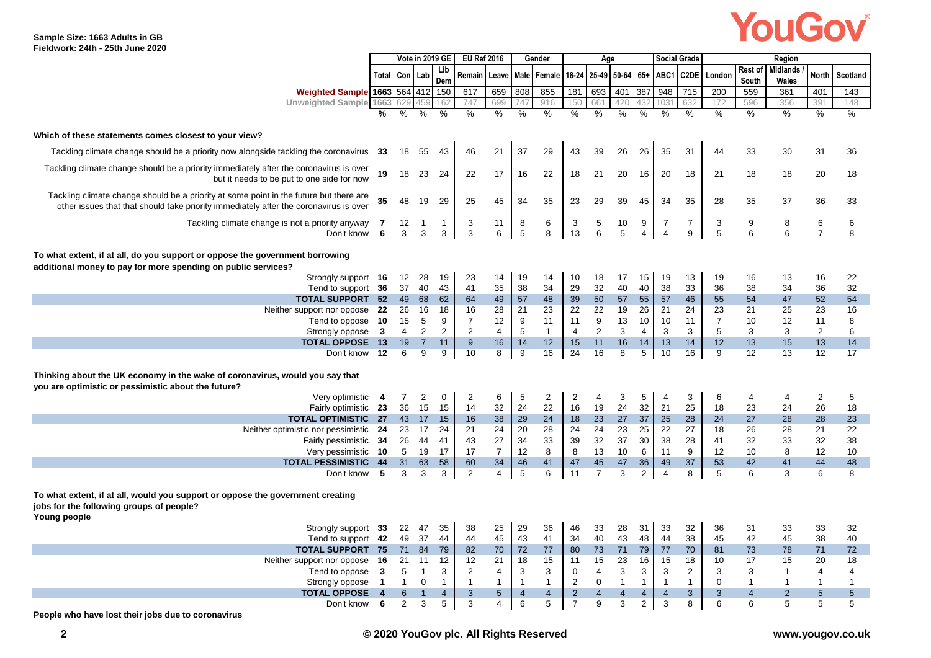## YouGov®

|                                                                                                                                                                                 |                |                     |                  | Vote in 2019 GE     | <b>EU Ref 2016</b>             |                      |                     | Gender        |                                  | Age                   |                     |                     |                     | <b>Social Grade</b> |                  |                     |                     |                     |                     |
|---------------------------------------------------------------------------------------------------------------------------------------------------------------------------------|----------------|---------------------|------------------|---------------------|--------------------------------|----------------------|---------------------|---------------|----------------------------------|-----------------------|---------------------|---------------------|---------------------|---------------------|------------------|---------------------|---------------------|---------------------|---------------------|
|                                                                                                                                                                                 | Total          |                     |                  | Lib                 |                                |                      |                     | Male Female   |                                  | 18-24 25-49 50-64 65+ |                     |                     |                     |                     |                  | Rest of             | <b>Midlands</b>     | <b>North</b>        |                     |
|                                                                                                                                                                                 |                | Con   Lab           |                  | Dem                 | Remain                         | Leave                |                     |               |                                  |                       |                     |                     |                     | ABC1 C2DE           | London           | South               | Wales               |                     | Scotland            |
| <b>Weighted Sample</b>                                                                                                                                                          | 1663 564 412   |                     |                  | 150                 | 617                            | 659                  | 808                 | 855           | 181                              | 693                   | 401                 | 387                 | 948                 | 715                 | 200              | 559                 | 361                 | 401                 | 143                 |
| <b>Unweighted Sample</b>                                                                                                                                                        | 1663           |                     |                  | 162                 | 747                            | 699                  | 74                  | 916           | 150                              | 661                   | 420                 |                     | 103                 | 632                 | 172              | 596                 | 356                 | 391                 | 148                 |
|                                                                                                                                                                                 |                | %                   | $\frac{9}{6}$    | %                   | %                              | %                    | $\frac{9}{6}$       | $\frac{9}{6}$ | %                                | %                     | %                   | %                   | $\frac{9}{6}$       | %                   | $\frac{9}{6}$    | %                   | %                   | %                   | $\frac{9}{6}$       |
| Which of these statements comes closest to your view?                                                                                                                           |                |                     |                  |                     |                                |                      |                     |               |                                  |                       |                     |                     |                     |                     |                  |                     |                     |                     |                     |
| Tackling climate change should be a priority now alongside tackling the coronavirus 33                                                                                          |                | 18                  | 55               | 43                  | 46                             | 21                   | 37                  | 29            | 43                               | 39                    | 26                  | 26                  | 35                  | 31                  | 44               | 33                  | 30                  | 31                  | 36                  |
| Tackling climate change should be a priority immediately after the coronavirus is over<br>but it needs to be put to one side for now                                            | 19             | 18                  | 23               | 24                  | 22                             | 17                   | 16                  | 22            | 18                               | 21                    | 20                  | 16                  | 20                  | 18                  | 21               | 18                  | 18                  | 20                  | 18                  |
| Tackling climate change should be a priority at some point in the future but there are<br>other issues that that should take priority immediately after the coronavirus is over | 35             | 48                  | 19               | 29                  | 25                             | 45                   | 34                  | 35            | 23                               | 29                    | 39                  | 45                  | 34                  | 35                  | 28               | 35                  | 37                  | 36                  | 33                  |
| Tackling climate change is not a priority anyway<br>Don't know                                                                                                                  | 7<br>6         | 12<br>3             | $\mathbf 1$<br>3 | $\mathbf{1}$<br>3   | 3<br>$\ensuremath{\mathsf{3}}$ | 11<br>6              | 8<br>$\,$ 5 $\,$    | 6<br>8        | 3<br>13                          | 5<br>6                | 10<br>5             | 9<br>$\overline{4}$ | $\overline{7}$<br>4 | $\overline{7}$<br>9 | 3<br>$\mathbf 5$ | 9<br>6              | 8<br>6              | 6<br>$\overline{7}$ | 6<br>8              |
| To what extent, if at all, do you support or oppose the government borrowing<br>additional money to pay for more spending on public services?                                   |                |                     |                  |                     |                                |                      |                     |               |                                  |                       |                     |                     |                     |                     |                  |                     |                     |                     |                     |
| Strongly support 16                                                                                                                                                             |                | 12                  | 28               | 19                  | 23                             | 14                   | 19                  | 14            | 10                               | 18                    | 17                  | 15                  | 19                  | 13                  | 19               | 16                  | 13                  | 16                  | 22                  |
| Tend to support                                                                                                                                                                 | 36             | 37                  | 40               | 43                  | 41                             | 35                   | 38                  | 34            | 29                               | 32                    | 40                  | 40                  | 38                  | 33                  | 36               | 38                  | 34                  | 36                  | 32                  |
| <b>TOTAL SUPPORT 52</b>                                                                                                                                                         |                | 49                  | 68               | 62                  | 64                             | 49                   | 57                  | 48            | 39                               | 50                    | 57                  | 55                  | 57                  | 46                  | 55               | 54                  | 47                  | 52                  | 54                  |
| Neither support nor oppose                                                                                                                                                      | -22            | 26                  | 16               | 18                  | 16                             | 28                   | 21                  | 23            | 22                               | 22                    | 19                  | 26                  | 21                  | 24                  | 23               | 21                  | 25                  | 23                  | 16                  |
| Tend to oppose                                                                                                                                                                  | 10             | 15                  | 5                | 9                   | $\overline{7}$                 | 12                   | 9                   | 11            | 11                               | 9                     | 13                  | 10                  | 10                  | 11                  | $\overline{7}$   | 10                  | 12                  | 11                  | 8                   |
| Strongly oppose                                                                                                                                                                 | $\mathbf{3}$   | 4                   | 2                | $\overline{2}$      | 2                              | 4                    | 5                   | $\mathbf{1}$  | $\overline{4}$                   | 2                     | 3                   | 4                   | 3                   | 3                   | 5                | 3                   | 3                   | 2                   | 6                   |
| <b>TOTAL OPPOSE 13</b>                                                                                                                                                          |                | 19                  | $\overline{7}$   | 11                  | $\boldsymbol{9}$               | 16                   | 14                  | 12            | 15                               | 11                    | 16                  | 14                  | 13                  | 14                  | 12               | 13                  | 15                  | 13                  | 14                  |
| Don't know                                                                                                                                                                      | 12             | 6                   | 9                | 9                   | 10                             | 8                    | 9                   | 16            | 24                               | 16                    | 8                   | 5                   | 10                  | 16                  | 9                | 12                  | 13                  | 12                  | 17                  |
| Thinking about the UK economy in the wake of coronavirus, would you say that<br>you are optimistic or pessimistic about the future?                                             |                |                     |                  |                     |                                |                      |                     |               |                                  |                       |                     |                     |                     |                     |                  |                     |                     |                     |                     |
| Very optimistic                                                                                                                                                                 | 4              | $\overline{7}$      | 2                | $\mathbf 0$         | 2                              | 6                    | 5                   | 2             | 2                                | 4                     | 3                   | 5                   | 4                   | 3                   | 6                | 4                   | 4                   | 2                   | 5                   |
| Fairly optimistic 23                                                                                                                                                            |                | 36                  | 15               | 15                  | 14                             | 32                   | 24                  | 22            | 16                               | 19                    | 24                  | 32                  | 21                  | 25                  | 18               | 23                  | 24                  | 26                  | 18                  |
| <b>TOTAL OPTIMISTIC 27</b>                                                                                                                                                      |                | 43                  | 17               | 15                  | 16                             | 38                   | 29                  | 24            | 18                               | 23                    | 27                  | 37                  | 25                  | 28                  | 24               | 27                  | 28                  | 28                  | 23                  |
| Neither optimistic nor pessimistic 24                                                                                                                                           |                | 23                  | 17               | 24                  | 21                             | 24                   | 20                  | 28            | 24                               | 24                    | 23                  | 25                  | 22                  | 27                  | 18               | 26                  | 28                  | 21                  | 22                  |
| Fairly pessimistic 34                                                                                                                                                           |                | 26                  | 44               | 41                  | 43                             | 27                   | 34                  | 33            | 39                               | 32                    | 37                  | 30                  | 38                  | 28                  | 41               | 32                  | 33                  | 32                  | 38                  |
| Very pessimistic                                                                                                                                                                | 10             | 5                   | 19               | 17                  | 17                             | $\overline{7}$       | 12                  | 8             | 8                                | 13                    | 10                  | 6                   | 11                  | 9                   | 12               | 10                  | 8                   | 12                  | 10                  |
| <b>TOTAL PESSIMISTIC</b>                                                                                                                                                        | 44             | 31                  | 63               | 58                  | 60                             | 34                   | 46                  | 41            | 47                               | 45                    | 47                  | 36                  | 49                  | 37                  | 53               | 42                  | 41                  | 44                  | 48                  |
| Don't know                                                                                                                                                                      | 5              | 3                   | 3                | 3                   | $\overline{2}$                 | $\overline{4}$       | 5                   | 6             | 11                               | $\overline{7}$        | 3                   | $\overline{2}$      | $\overline{4}$      | 8                   | 5                | 6                   | 3                   | 6                   | 8                   |
| To what extent, if at all, would you support or oppose the government creating<br>jobs for the following groups of people?<br>Young people                                      |                |                     |                  |                     |                                |                      |                     |               |                                  |                       |                     |                     |                     |                     |                  |                     |                     |                     |                     |
| Strongly support 33                                                                                                                                                             |                | 22                  | 47               | 35                  | 38                             | 25                   | 29                  | 36            | 46                               | 33                    | 28                  | 31                  | 33                  | 32                  | 36               | 31                  | 33                  | 33                  | 32                  |
| Tend to support                                                                                                                                                                 | 42             | 49                  | 37               | 44                  | 44                             | 45                   | 43                  | 41            | 34                               | 40                    | 43                  | 48                  | 44                  | 38                  | 45               | 42                  | 45                  | 38                  | 40                  |
| <b>TOTAL SUPPORT</b>                                                                                                                                                            | 75             | 71                  | 84               | 79                  | 82                             | 70                   | 72                  | 77            | 80                               | 73                    | 71                  | 79                  | 77                  | 70                  | 81               | 73                  | 78                  | 71                  | 72                  |
| Neither support nor oppose                                                                                                                                                      | -16            | 21                  | 11               | 12                  | 12                             | 21                   | 18                  | 15            | 11                               | 15                    | 23                  | 16                  | 15                  | 18                  | 10               | 17                  | 15                  | 20                  | 18                  |
| Tend to oppose                                                                                                                                                                  | $\mathbf{3}$   | 5                   | $\mathbf{1}$     | 3                   | $\overline{2}$                 | 4                    | 3                   | 3             | $\mathbf 0$                      | 4                     | 3                   | 3                   | 3                   | 2                   | 3                | 3                   | $\mathbf 1$         | 4                   | 4                   |
| Strongly oppose                                                                                                                                                                 | -1             | $\overline{1}$      | $\mathbf 0$      | $\mathbf{1}$        | $\mathbf{1}$                   | $\mathbf 1$          | $\mathbf{1}$        | $\mathbf{1}$  | 2                                | $\Omega$              | $\overline{1}$      | $\mathbf{1}$        | -1                  | $\mathbf{1}$        | $\mathbf 0$      | $\mathbf{1}$        | -1                  | $\mathbf 1$         | $\mathbf{1}$        |
| <b>TOTAL OPPOSE</b>                                                                                                                                                             | $\overline{4}$ | 6<br>$\overline{2}$ | 3                | $\overline{4}$<br>5 | 3<br>3                         | $5\phantom{.0}$<br>4 | $\overline{4}$<br>6 | 4<br>5        | $\overline{2}$<br>$\overline{7}$ | $\overline{4}$<br>9   | $\overline{4}$<br>3 | 4<br>$\overline{2}$ | $\overline{4}$<br>3 | 3<br>8              | 3<br>6           | $\overline{4}$<br>6 | $\overline{2}$<br>5 | 5<br>5              | $\overline{5}$<br>5 |
| Don't know                                                                                                                                                                      | 6              |                     |                  |                     |                                |                      |                     |               |                                  |                       |                     |                     |                     |                     |                  |                     |                     |                     |                     |

**People who have lost their jobs due to coronavirus**